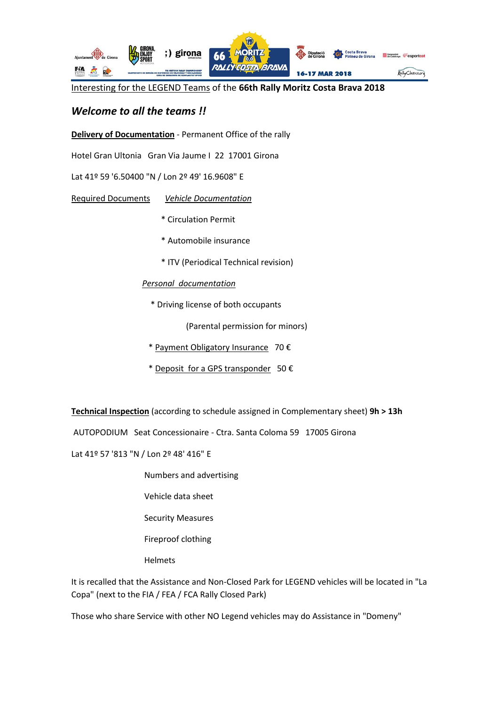

Interesting for the LEGEND Teams of the **66th Rally Moritz Costa Brava 2018**

## *Welcome to all the teams !!*

**Delivery of Documentation** - Permanent Office of the rally

Hotel Gran Ultonia Gran Via Jaume I 22 17001 Girona

Lat 41º 59 '6.50400 "N / Lon 2º 49' 16.9608" E

Required Documents *Vehicle Documentation*

- \* Circulation Permit
- \* Automobile insurance
- \* ITV (Periodical Technical revision)

## *Personal documentation*

\* Driving license of both occupants

(Parental permission for minors)

- \* Payment Obligatory Insurance 70 €
- \* Deposit for a GPS transponder 50  $\epsilon$

**Technical Inspection** (according to schedule assigned in Complementary sheet) **9h > 13h**

AUTOPODIUM Seat Concessionaire - Ctra. Santa Coloma 59 17005 Girona

Lat 41º 57 '813 "N / Lon 2º 48' 416" E

- Numbers and advertising
- Vehicle data sheet
- Security Measures
- Fireproof clothing
- Helmets

It is recalled that the Assistance and Non-Closed Park for LEGEND vehicles will be located in "La Copa" (next to the FIA / FEA / FCA Rally Closed Park)

Those who share Service with other NO Legend vehicles may do Assistance in "Domeny"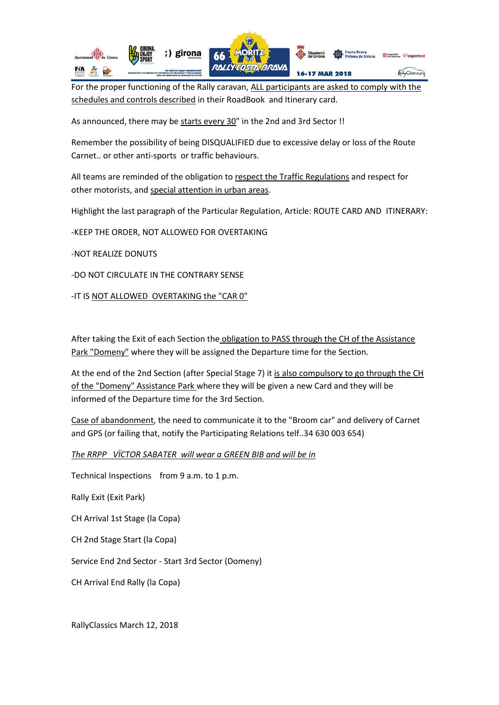

For the proper functioning of the Rally caravan, ALL participants are asked to comply with the schedules and controls described in their RoadBook and Itinerary card.

As announced, there may be starts every 30" in the 2nd and 3rd Sector !!

Remember the possibility of being DISQUALIFIED due to excessive delay or loss of the Route Carnet.. or other anti-sports or traffic behaviours.

All teams are reminded of the obligation to respect the Traffic Regulations and respect for other motorists, and special attention in urban areas.

Highlight the last paragraph of the Particular Regulation, Article: ROUTE CARD AND ITINERARY:

-KEEP THE ORDER, NOT ALLOWED FOR OVERTAKING

-NOT REALIZE DONUTS

-DO NOT CIRCULATE IN THE CONTRARY SENSE

-IT IS NOT ALLOWED OVERTAKING the "CAR 0"

After taking the Exit of each Section the obligation to PASS through the CH of the Assistance Park "Domeny" where they will be assigned the Departure time for the Section.

At the end of the 2nd Section (after Special Stage 7) it is also compulsory to go through the CH of the "Domeny" Assistance Park where they will be given a new Card and they will be informed of the Departure time for the 3rd Section.

Case of abandonment, the need to communicate it to the "Broom car" and delivery of Carnet and GPS (or failing that, notify the Participating Relations telf..34 630 003 654)

*The RRPP VÏCTOR SABATER will wear a GREEN BIB and will be in*

Technical Inspections from 9 a.m. to 1 p.m.

Rally Exit (Exit Park)

CH Arrival 1st Stage (la Copa)

CH 2nd Stage Start (la Copa)

Service End 2nd Sector - Start 3rd Sector (Domeny)

CH Arrival End Rally (la Copa)

RallyClassics March 12, 2018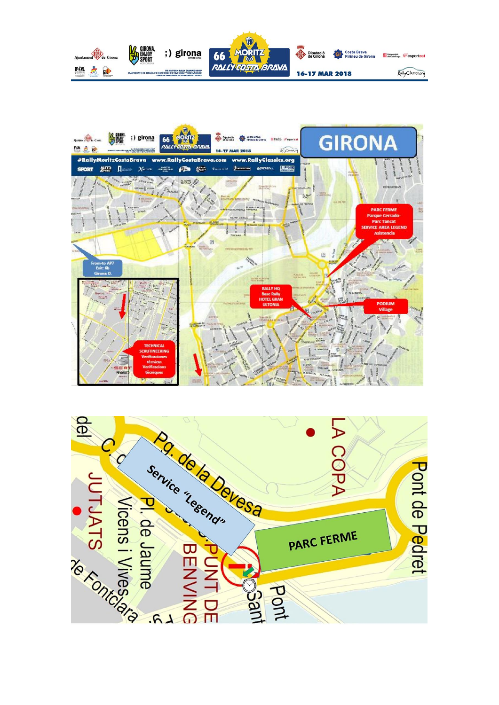